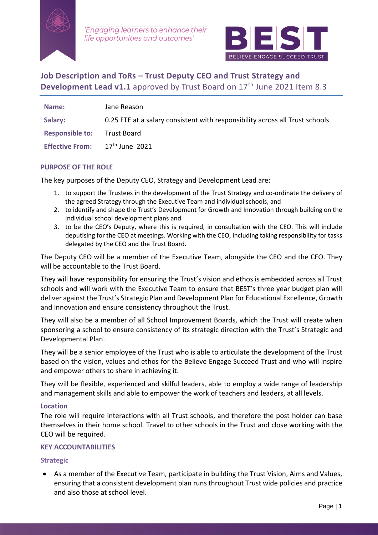

'Engaging learners to enhance their life opportunities and outcomes'



# **Job Description and ToRs – Trust Deputy CEO and Trust Strategy and Development Lead v1.1** approved by Trust Board on 17<sup>th</sup> June 2021 Item 8.3

| Name:                              | Jane Reason                                                                  |
|------------------------------------|------------------------------------------------------------------------------|
| Salary:                            | 0.25 FTE at a salary consistent with responsibility across all Trust schools |
| <b>Responsible to:</b> Trust Board |                                                                              |
| Effective From: $17th$ June 2021   |                                                                              |

### **PURPOSE OF THE ROLE**

The key purposes of the Deputy CEO, Strategy and Development Lead are:

- 1. to support the Trustees in the development of the Trust Strategy and co-ordinate the delivery of the agreed Strategy through the Executive Team and individual schools, and
- 2. to identify and shape the Trust's Development for Growth and Innovation through building on the individual school development plans and
- 3. to be the CEO's Deputy, where this is required, in consultation with the CEO. This will include deputising for the CEO at meetings. Working with the CEO, including taking responsibility for tasks delegated by the CEO and the Trust Board.

The Deputy CEO will be a member of the Executive Team, alongside the CEO and the CFO. They will be accountable to the Trust Board.

They will have responsibility for ensuring the Trust's vision and ethos is embedded across all Trust schools and will work with the Executive Team to ensure that BEST's three year budget plan will deliver against the Trust's Strategic Plan and Development Plan for Educational Excellence, Growth and Innovation and ensure consistency throughout the Trust.

They will also be a member of all School Improvement Boards, which the Trust will create when sponsoring a school to ensure consistency of its strategic direction with the Trust's Strategic and Developmental Plan.

They will be a senior employee of the Trust who is able to articulate the development of the Trust based on the vision, values and ethos for the Believe Engage Succeed Trust and who will inspire and empower others to share in achieving it.

They will be flexible, experienced and skilful leaders, able to employ a wide range of leadership and management skills and able to empower the work of teachers and leaders, at all levels.

#### **Location**

The role will require interactions with all Trust schools, and therefore the post holder can base themselves in their home school. Travel to other schools in the Trust and close working with the CEO will be required.

## **KEY ACCOUNTABILITIES**

#### **Strategic**

 As a member of the Executive Team, participate in building the Trust Vision, Aims and Values, ensuring that a consistent development plan runs throughout Trust wide policies and practice and also those at school level.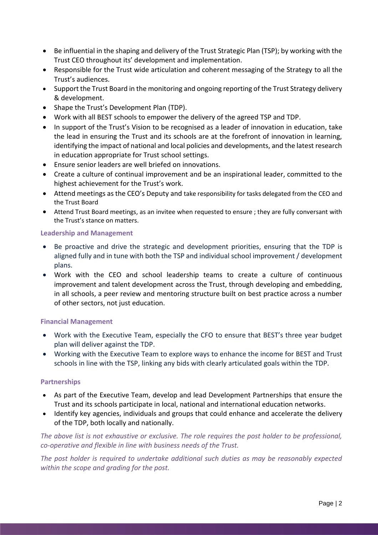- Be influential in the shaping and delivery of the Trust Strategic Plan (TSP); by working with the Trust CEO throughout its' development and implementation.
- Responsible for the Trust wide articulation and coherent messaging of the Strategy to all the Trust's audiences.
- Support the Trust Board in the monitoring and ongoing reporting of the Trust Strategy delivery & development.
- Shape the Trust's Development Plan (TDP).
- Work with all BEST schools to empower the delivery of the agreed TSP and TDP.
- In support of the Trust's Vision to be recognised as a leader of innovation in education, take the lead in ensuring the Trust and its schools are at the forefront of innovation in learning, identifying the impact of national and local policies and developments, and the latest research in education appropriate for Trust school settings.
- Ensure senior leaders are well briefed on innovations.
- Create a culture of continual improvement and be an inspirational leader, committed to the highest achievement for the Trust's work.
- Attend meetings as the CEO's Deputy and take responsibility for tasks delegated from the CEO and the Trust Board
- Attend Trust Board meetings, as an invitee when requested to ensure ; they are fully conversant with the Trust's stance on matters.

#### **Leadership and Management**

- Be proactive and drive the strategic and development priorities, ensuring that the TDP is aligned fully and in tune with both the TSP and individual school improvement / development plans.
- Work with the CEO and school leadership teams to create a culture of continuous improvement and talent development across the Trust, through developing and embedding, in all schools, a peer review and mentoring structure built on best practice across a number of other sectors, not just education.

#### **Financial Management**

- Work with the Executive Team, especially the CFO to ensure that BEST's three year budget plan will deliver against the TDP.
- Working with the Executive Team to explore ways to enhance the income for BEST and Trust schools in line with the TSP, linking any bids with clearly articulated goals within the TDP.

#### **Partnerships**

- As part of the Executive Team, develop and lead Development Partnerships that ensure the Trust and its schools participate in local, national and international education networks.
- Identify key agencies, individuals and groups that could enhance and accelerate the delivery of the TDP, both locally and nationally.

*The above list is not exhaustive or exclusive. The role requires the post holder to be professional, co-operative and flexible in line with business needs of the Trust.*

*The post holder is required to undertake additional such duties as may be reasonably expected within the scope and grading for the post.*